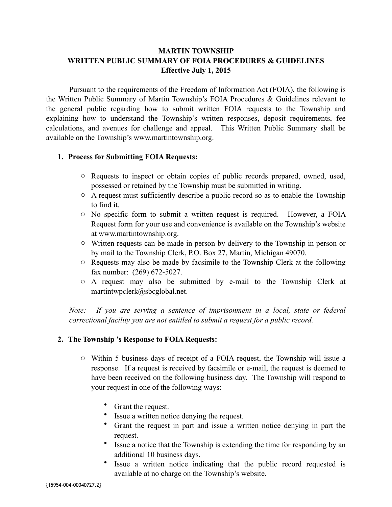# **MARTIN TOWNSHIP WRITTEN PUBLIC SUMMARY OF FOIA PROCEDURES & GUIDELINES Effective July 1, 2015**

Pursuant to the requirements of the Freedom of Information Act (FOIA), the following is the Written Public Summary of Martin Township's FOIA Procedures & Guidelines relevant to the general public regarding how to submit written FOIA requests to the Township and explaining how to understand the Township's written responses, deposit requirements, fee calculations, and avenues for challenge and appeal. This Written Public Summary shall be available on the Township's www.martintownship.org.

#### **1. Process for Submitting FOIA Requests:**

- o Requests to inspect or obtain copies of public records prepared, owned, used, possessed or retained by the Township must be submitted in writing.
- o A request must sufficiently describe a public record so as to enable the Township to find it.
- o No specific form to submit a written request is required. However, a FOIA Request form for your use and convenience is available on the Township's website at www.martintownship.org.
- o Written requests can be made in person by delivery to the Township in person or by mail to the Township Clerk, P.O. Box 27, Martin, Michigan 49070.
- o Requests may also be made by facsimile to the Township Clerk at the following fax number: (269) 672-5027.
- o A request may also be submitted by e-mail to the Township Clerk at martintwpclerk@sbcglobal.net.

*Note:* If you are serving a sentence of imprisonment in a local, state or federal *correctional facility you are not entitled to submit a request for a public record.*

#### **2. The Township 's Response to FOIA Requests:**

- o Within 5 business days of receipt of a FOIA request, the Township will issue a response. If a request is received by facsimile or e-mail, the request is deemed to have been received on the following business day. The Township will respond to your request in one of the following ways:
	- Grant the request.
	- Issue a written notice denying the request.
	- Grant the request in part and issue a written notice denying in part the request.
	- Issue a notice that the Township is extending the time for responding by an additional 10 business days.
	- Issue a written notice indicating that the public record requested is available at no charge on the Township's website.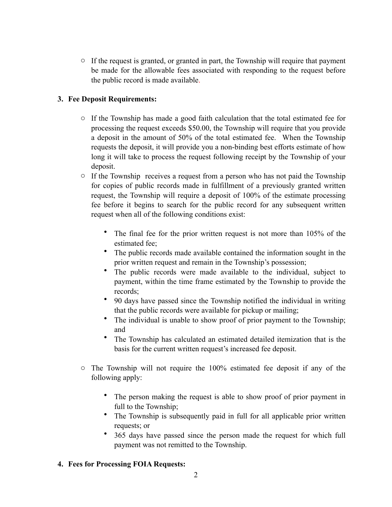$\circ$  If the request is granted, or granted in part, the Township will require that payment be made for the allowable fees associated with responding to the request before the public record is made available.

# **3. Fee Deposit Requirements:**

- o If the Township has made a good faith calculation that the total estimated fee for processing the request exceeds \$50.00, the Township will require that you provide a deposit in the amount of 50% of the total estimated fee. When the Township requests the deposit, it will provide you a non-binding best efforts estimate of how long it will take to process the request following receipt by the Township of your deposit.
- o If the Township receives a request from a person who has not paid the Township for copies of public records made in fulfillment of a previously granted written request, the Township will require a deposit of 100% of the estimate processing fee before it begins to search for the public record for any subsequent written request when all of the following conditions exist:
	- The final fee for the prior written request is not more than 105% of the estimated fee;
	- The public records made available contained the information sought in the prior written request and remain in the Township's possession;
	- The public records were made available to the individual, subject to payment, within the time frame estimated by the Township to provide the records;
	- 90 days have passed since the Township notified the individual in writing that the public records were available for pickup or mailing;
	- The individual is unable to show proof of prior payment to the Township; and
	- The Township has calculated an estimated detailed itemization that is the basis for the current written request's increased fee deposit.
- $\circ$  The Township will not require the 100% estimated fee deposit if any of the following apply:
	- The person making the request is able to show proof of prior payment in full to the Township;
	- The Township is subsequently paid in full for all applicable prior written requests; or
	- 365 days have passed since the person made the request for which full payment was not remitted to the Township.

## **4. Fees for Processing FOIA Requests:**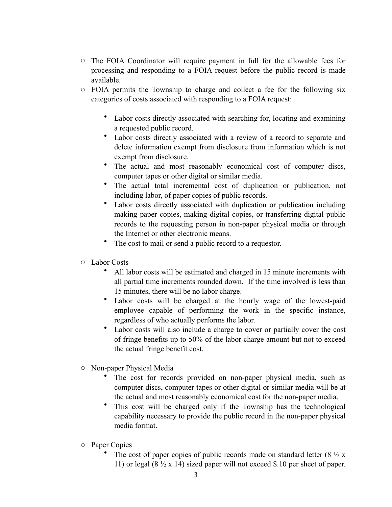- o The FOIA Coordinator will require payment in full for the allowable fees for processing and responding to a FOIA request before the public record is made available.
- o FOIA permits the Township to charge and collect a fee for the following six categories of costs associated with responding to a FOIA request:
	- Labor costs directly associated with searching for, locating and examining a requested public record.
	- Labor costs directly associated with a review of a record to separate and delete information exempt from disclosure from information which is not exempt from disclosure.
	- The actual and most reasonably economical cost of computer discs, computer tapes or other digital or similar media.
	- The actual total incremental cost of duplication or publication, not including labor, of paper copies of public records.
	- Labor costs directly associated with duplication or publication including making paper copies, making digital copies, or transferring digital public records to the requesting person in non-paper physical media or through the Internet or other electronic means.
	- The cost to mail or send a public record to a requestor.
- o Labor Costs
	- All labor costs will be estimated and charged in 15 minute increments with all partial time increments rounded down. If the time involved is less than 15 minutes, there will be no labor charge.
	- Labor costs will be charged at the hourly wage of the lowest-paid employee capable of performing the work in the specific instance, regardless of who actually performs the labor.
	- Labor costs will also include a charge to cover or partially cover the cost of fringe benefits up to 50% of the labor charge amount but not to exceed the actual fringe benefit cost.
- o Non-paper Physical Media
	- The cost for records provided on non-paper physical media, such as computer discs, computer tapes or other digital or similar media will be at the actual and most reasonably economical cost for the non-paper media.
	- This cost will be charged only if the Township has the technological capability necessary to provide the public record in the non-paper physical media format.
- o Paper Copies
	- The cost of paper copies of public records made on standard letter  $(8 \frac{1}{2} x)$ 11) or legal  $(8 \frac{1}{2} \times 14)$  sized paper will not exceed \$.10 per sheet of paper.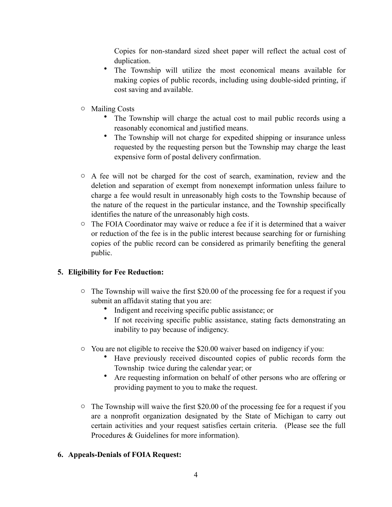Copies for non-standard sized sheet paper will reflect the actual cost of duplication.

- The Township will utilize the most economical means available for making copies of public records, including using double-sided printing, if cost saving and available.
- o Mailing Costs
	- The Township will charge the actual cost to mail public records using a reasonably economical and justified means.
	- The Township will not charge for expedited shipping or insurance unless requested by the requesting person but the Township may charge the least expensive form of postal delivery confirmation.
- o A fee will not be charged for the cost of search, examination, review and the deletion and separation of exempt from nonexempt information unless failure to charge a fee would result in unreasonably high costs to the Township because of the nature of the request in the particular instance, and the Township specifically identifies the nature of the unreasonably high costs.
- $\circ$  The FOIA Coordinator may waive or reduce a fee if it is determined that a waiver or reduction of the fee is in the public interest because searching for or furnishing copies of the public record can be considered as primarily benefiting the general public.

# **5. Eligibility for Fee Reduction:**

- $\circ$  The Township will waive the first \$20.00 of the processing fee for a request if you submit an affidavit stating that you are:
	- Indigent and receiving specific public assistance; or
	- If not receiving specific public assistance, stating facts demonstrating an inability to pay because of indigency.
- o You are not eligible to receive the \$20.00 waiver based on indigency if you:
	- Have previously received discounted copies of public records form the Township twice during the calendar year; or
	- Are requesting information on behalf of other persons who are offering or providing payment to you to make the request.
- $\circ$  The Township will waive the first \$20.00 of the processing fee for a request if you are a nonprofit organization designated by the State of Michigan to carry out certain activities and your request satisfies certain criteria. (Please see the full Procedures & Guidelines for more information).

## **6. Appeals-Denials of FOIA Request:**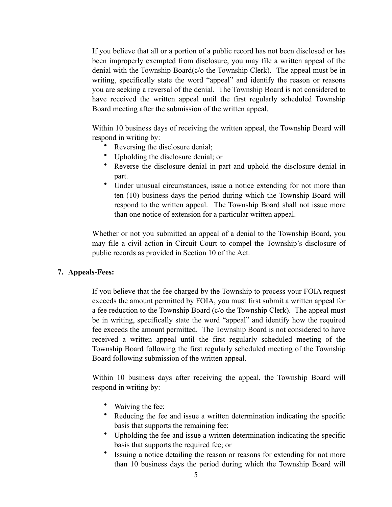If you believe that all or a portion of a public record has not been disclosed or has been improperly exempted from disclosure, you may file a written appeal of the denial with the Township Board(c/o the Township Clerk). The appeal must be in writing, specifically state the word "appeal" and identify the reason or reasons you are seeking a reversal of the denial. The Township Board is not considered to have received the written appeal until the first regularly scheduled Township Board meeting after the submission of the written appeal.

Within 10 business days of receiving the written appeal, the Township Board will respond in writing by:

- Reversing the disclosure denial;
- Upholding the disclosure denial; or
- Reverse the disclosure denial in part and uphold the disclosure denial in part.
- Under unusual circumstances, issue a notice extending for not more than ten (10) business days the period during which the Township Board will respond to the written appeal. The Township Board shall not issue more than one notice of extension for a particular written appeal.

Whether or not you submitted an appeal of a denial to the Township Board, you may file a civil action in Circuit Court to compel the Township's disclosure of public records as provided in Section 10 of the Act.

## **7. Appeals-Fees:**

If you believe that the fee charged by the Township to process your FOIA request exceeds the amount permitted by FOIA, you must first submit a written appeal for a fee reduction to the Township Board (c/o the Township Clerk). The appeal must be in writing, specifically state the word "appeal" and identify how the required fee exceeds the amount permitted. The Township Board is not considered to have received a written appeal until the first regularly scheduled meeting of the Township Board following the first regularly scheduled meeting of the Township Board following submission of the written appeal.

Within 10 business days after receiving the appeal, the Township Board will respond in writing by:

- Waiving the fee;
- Reducing the fee and issue a written determination indicating the specific basis that supports the remaining fee;
- Upholding the fee and issue a written determination indicating the specific basis that supports the required fee; or
- Issuing a notice detailing the reason or reasons for extending for not more than 10 business days the period during which the Township Board will